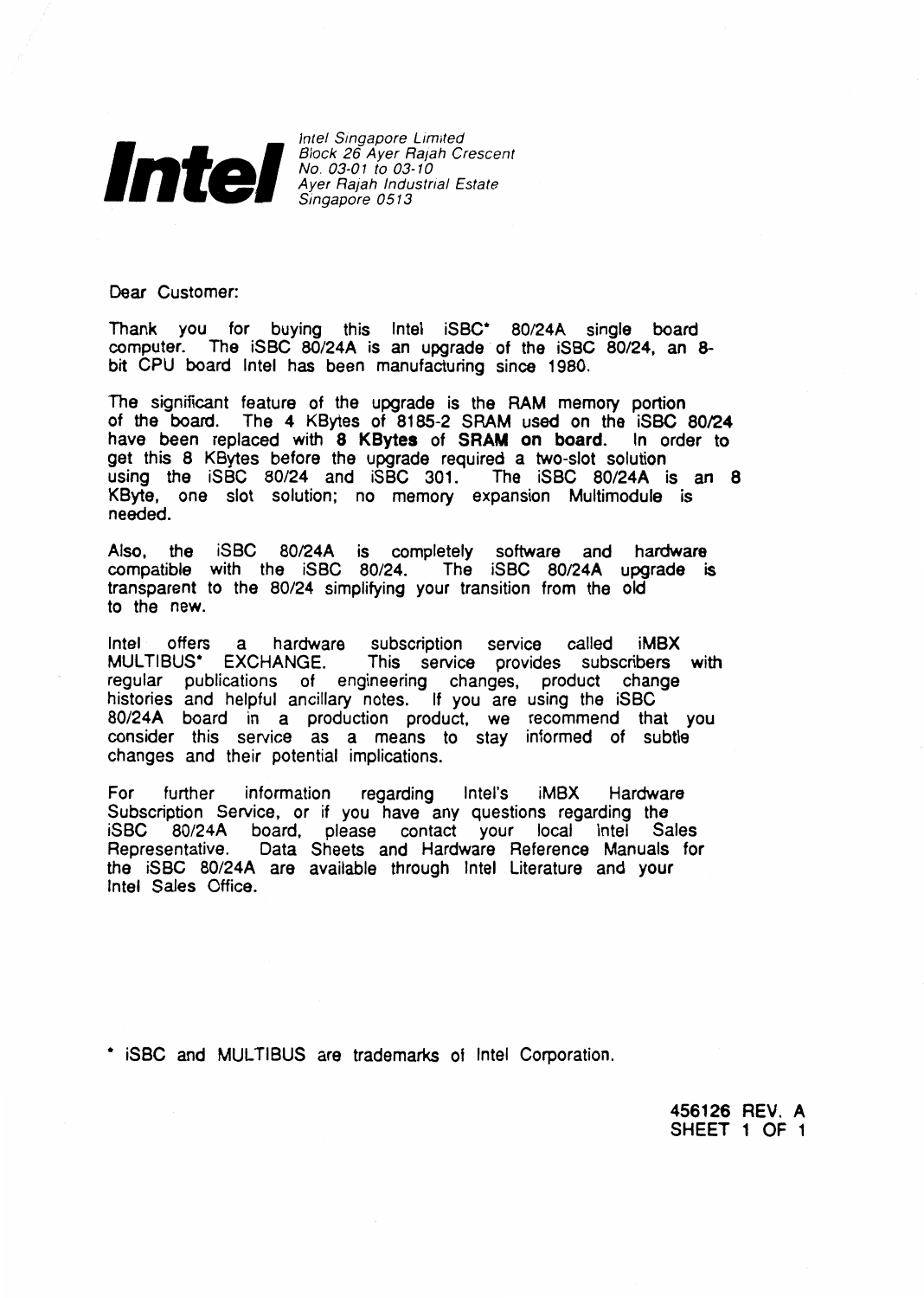

Block 26 Ayer Rajah Crescent No. 03-01 to 03-1 0 Ayer Rajah lndustrial Estate Singapore 0513

Dear Customer:

Thank you for buying this Intel iSBC\* 80/24A single board computer. The iSBC 80/24A is an upgrade of the iSBC 80/24, an 8 bit CPU board Intel has been manufacturing since 1980.

The significant feature of the upgrade is the RAM memory portion of the board. The 4 KBytes of 8185-2 SRAM used on the iSBC 80/24 have been replaced with **8 KBytes** of **SRAM on board.** ln order to get this 8 KBytes before the upgrade required a two-slot solution using the iSBC 80/24 and iSBC 301. The iSBC 80/24A is an 8 KByte, one slot solution; no memory expansion Multimodule is needed.

Also, the iSBC 80/24A is completely software and hardware compatible with the iSBC 80/24. The iSBC 80/24A upgrade is transparent to the 80/24 simplifying your transition from the old to the new.

Intel offers a hardware subscription service called **iMBX**  MUL TIBUS\* EXCHANGE. This service provides subscribers with regular publications of engineering changes, product change histories and helpful ancillary notes. If you are using the iSBC 80/24A board in a production product, we recommend that you consider this service as a means to stay informed of subtle changes and their potential implications.

For further information regarding lntel's iMBX Hardware Subscription Service, or if you have any questions regarding the iSBC 80/24A board, please contact your local Intel Sales Representative. Data Sheets and Hardware Aeference Manuals for the iSBC 80/24A are available through Intel Literature and your Intel Sales Office.

• iSBC and MUL TIBUS are trademarks of Intel Corporation.

**456126 REV. A**  SHEET 1 OF 1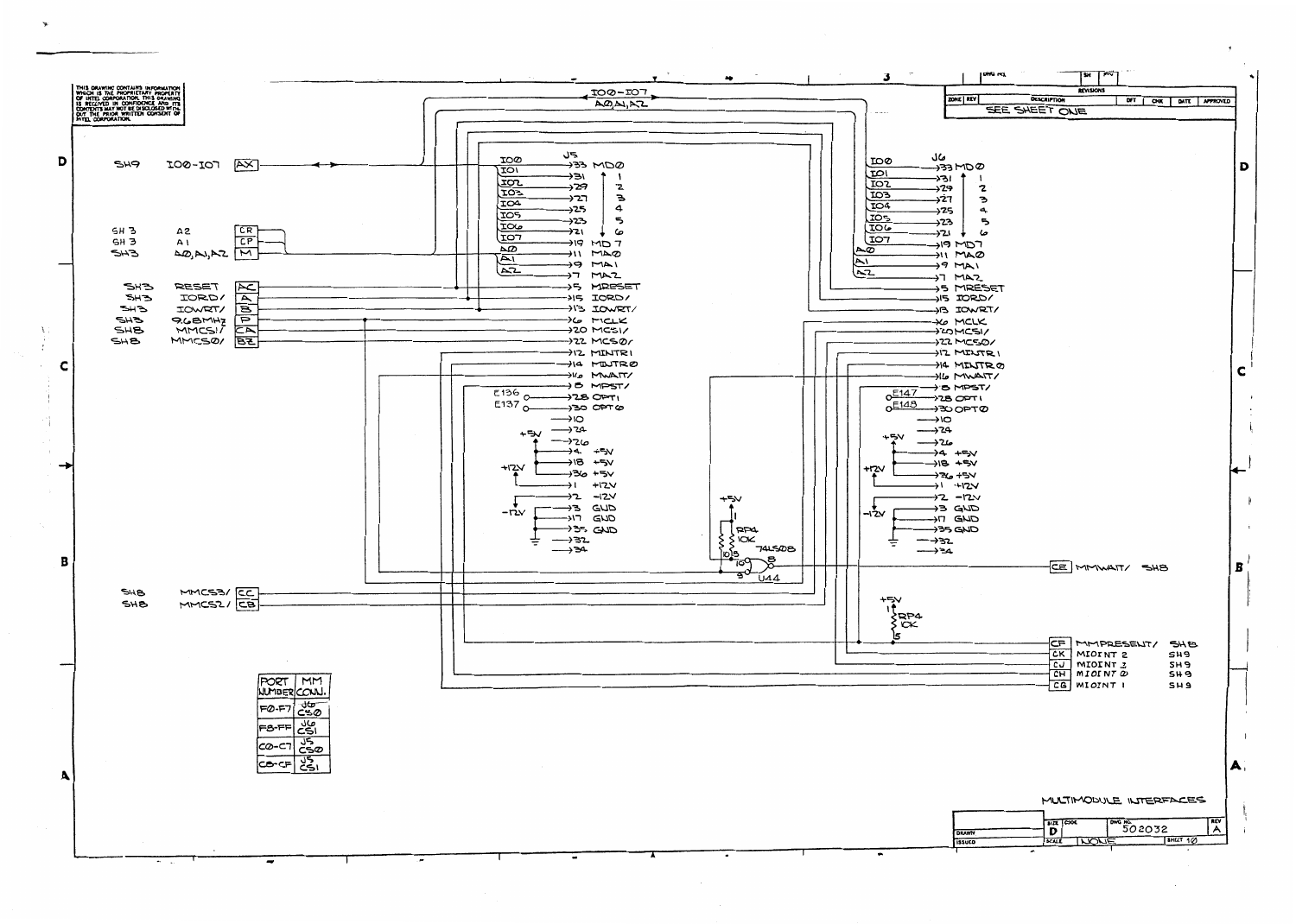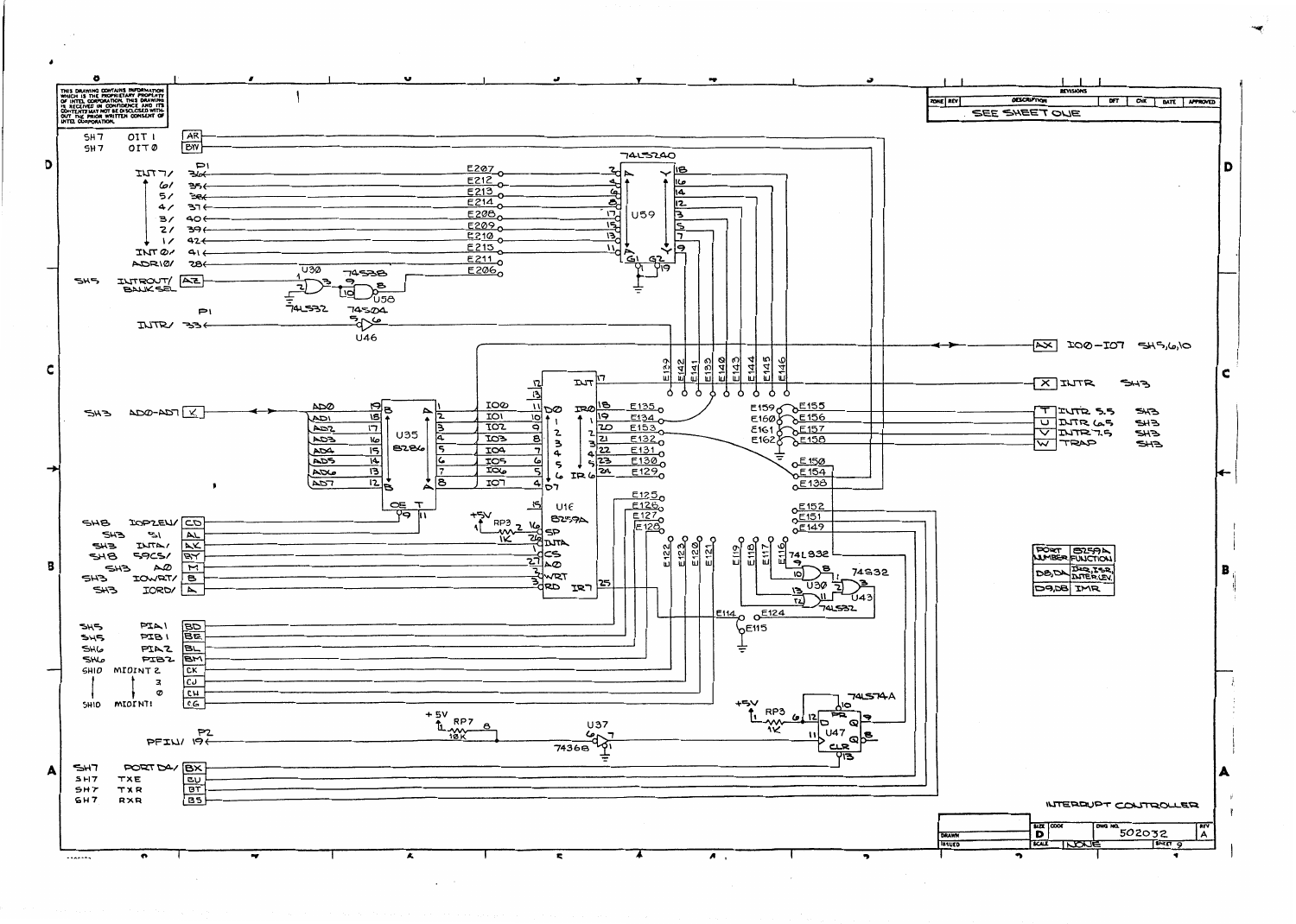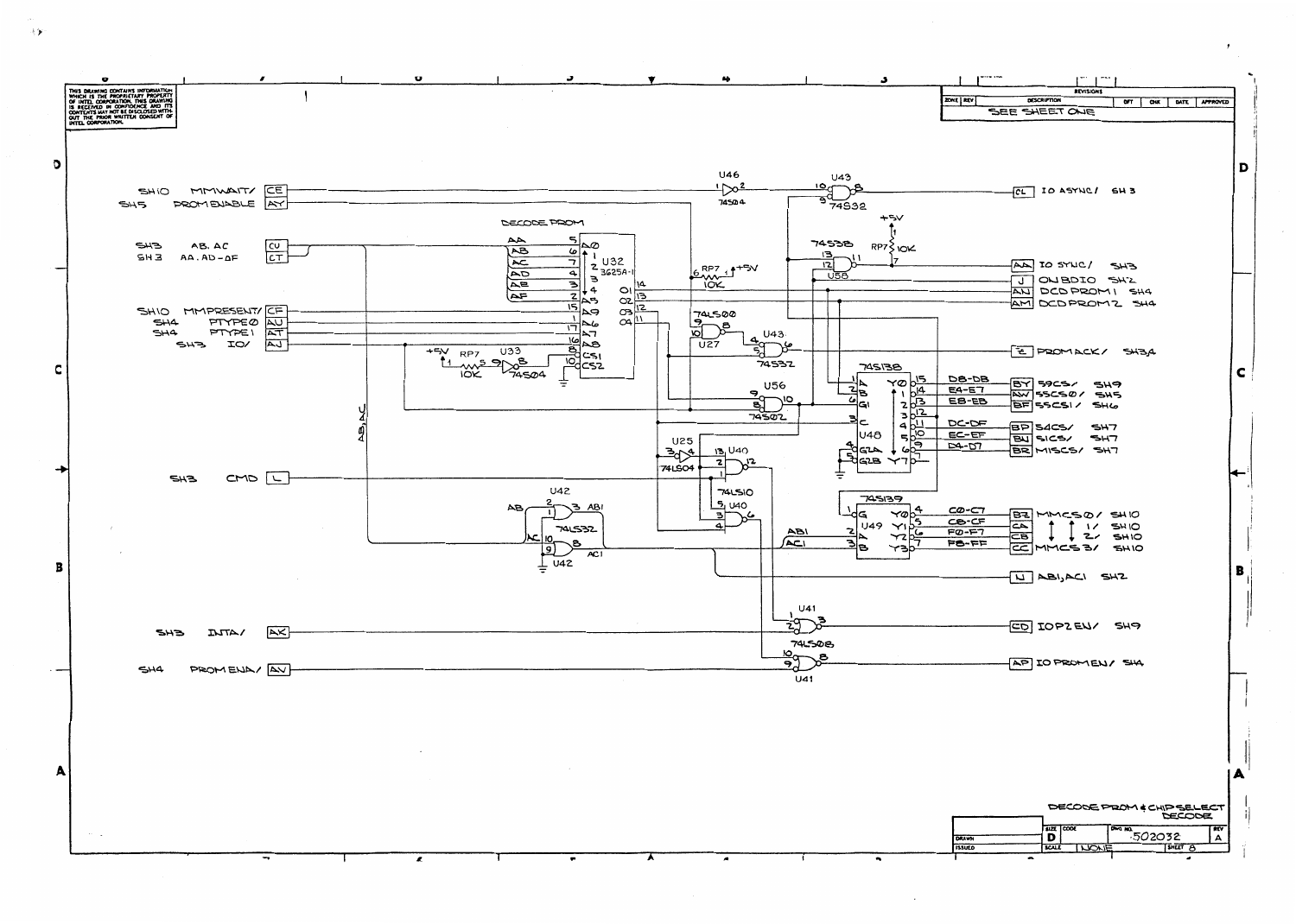

手矢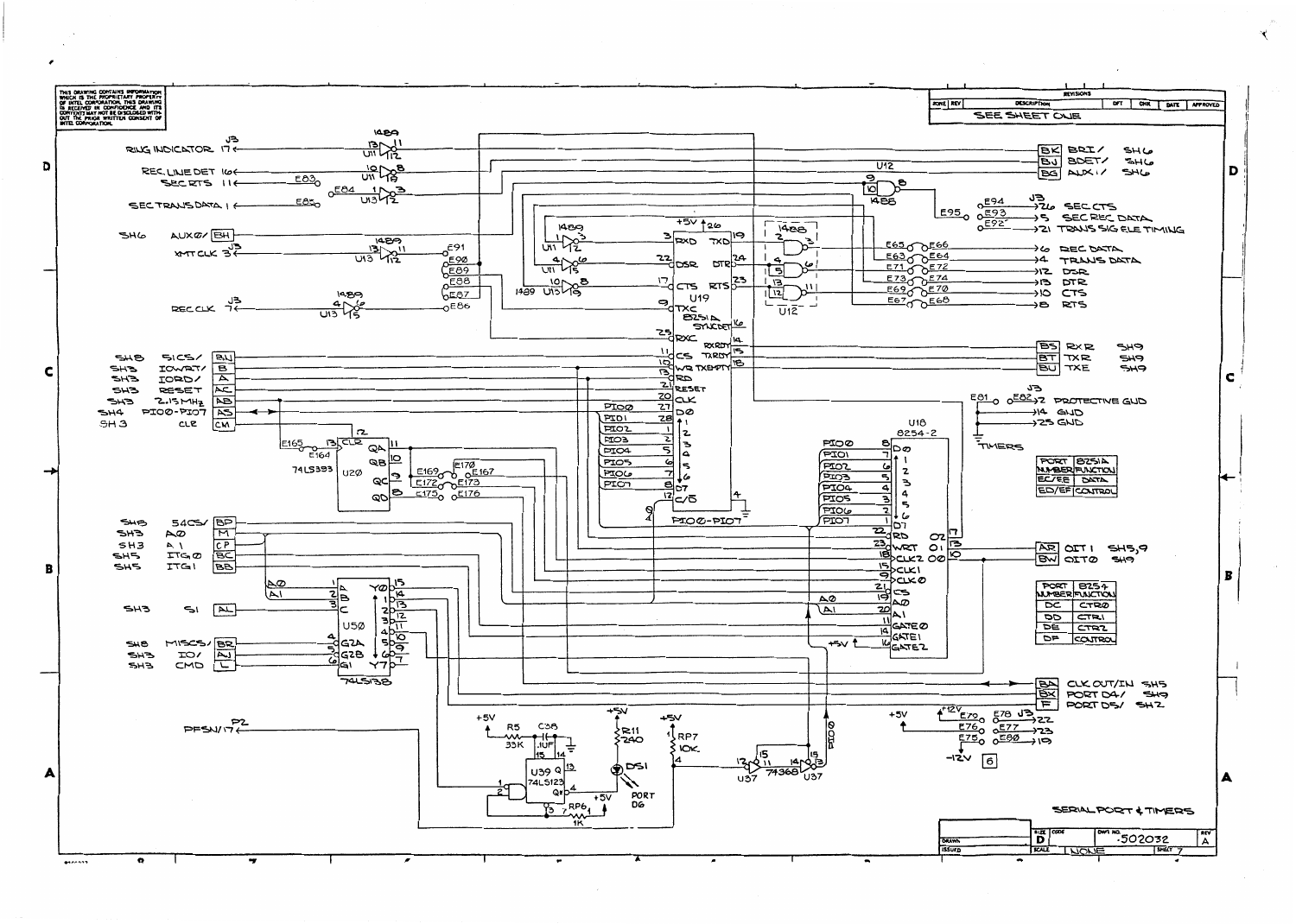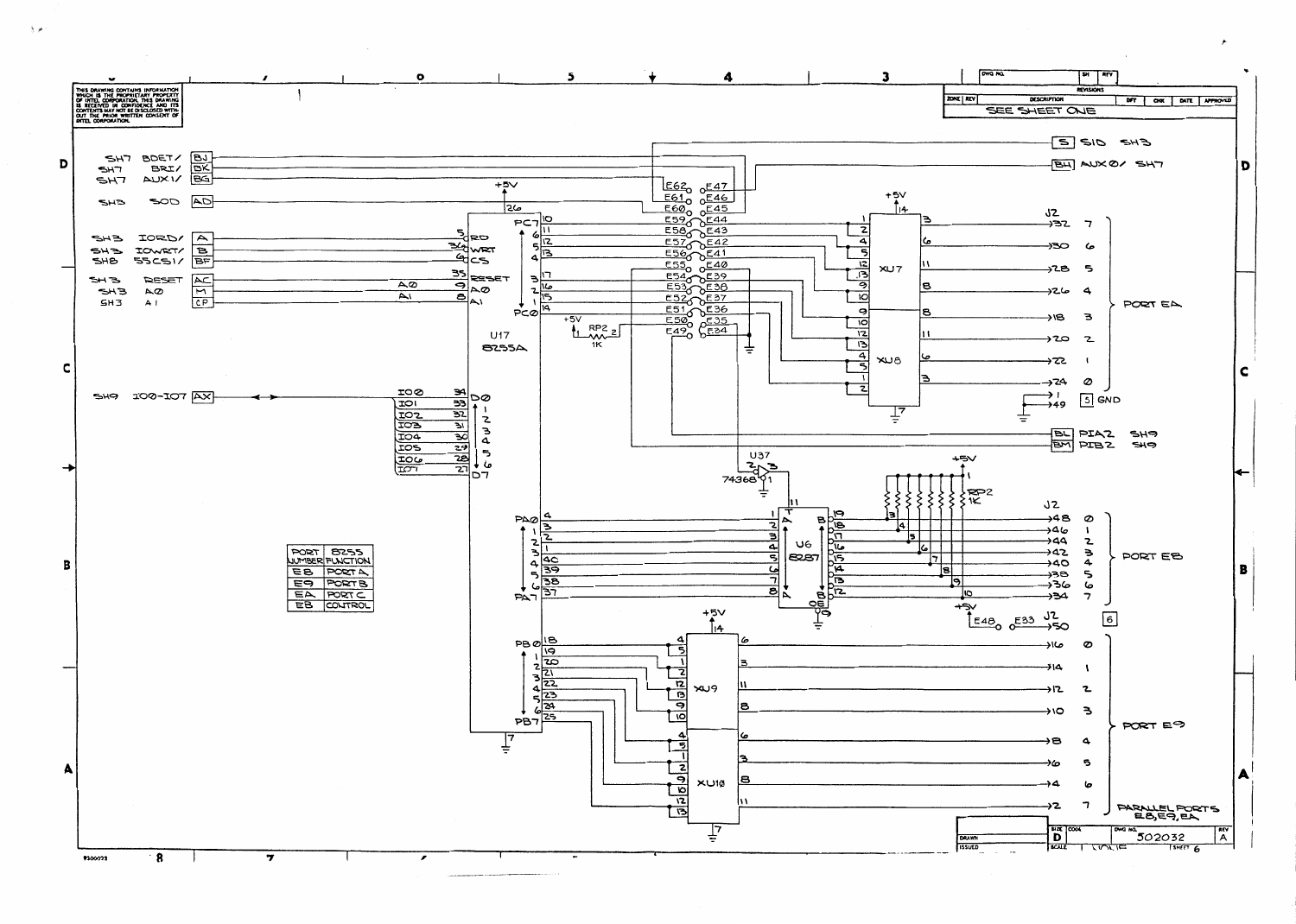

ا ہوا ج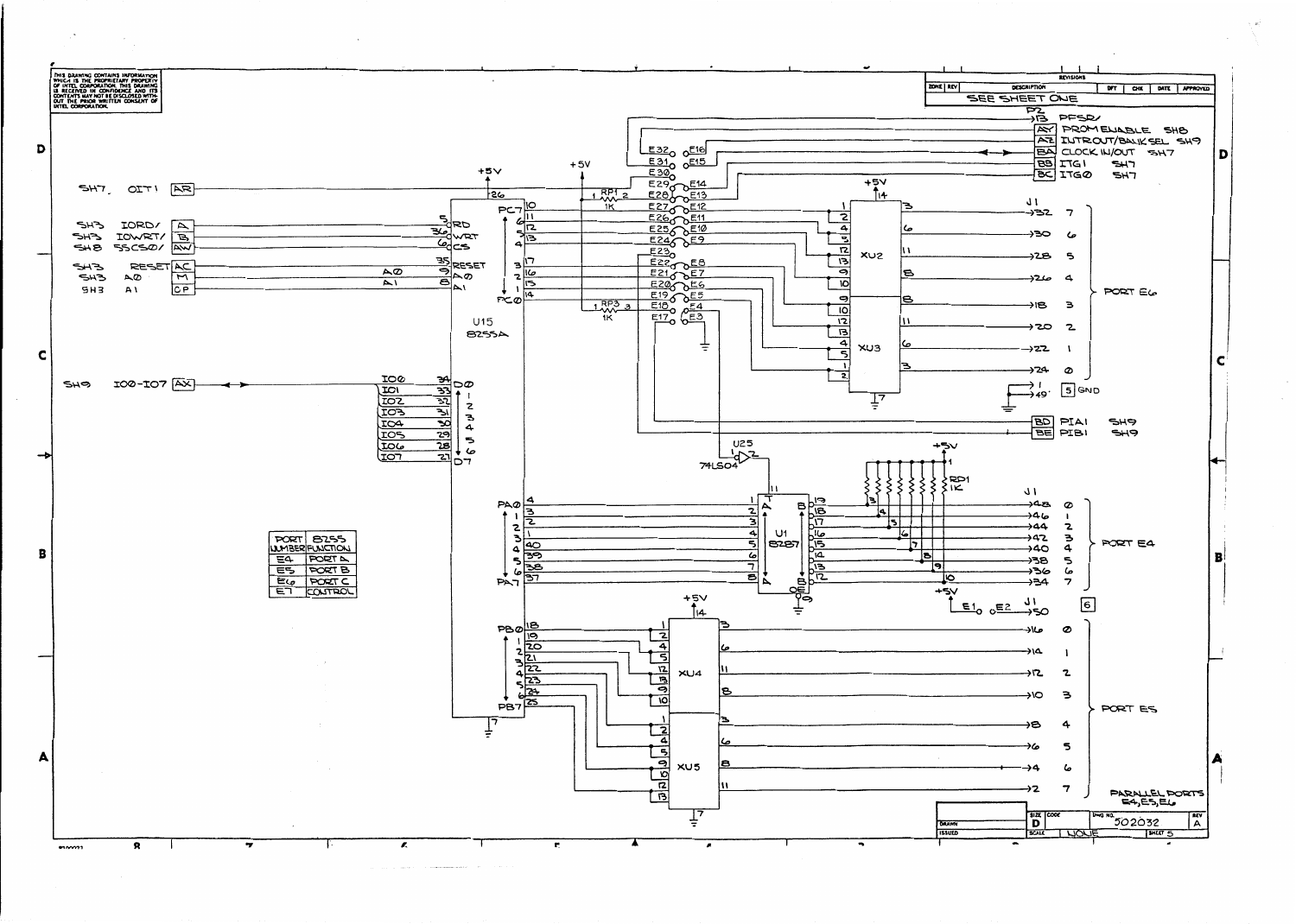

**Contract Communication**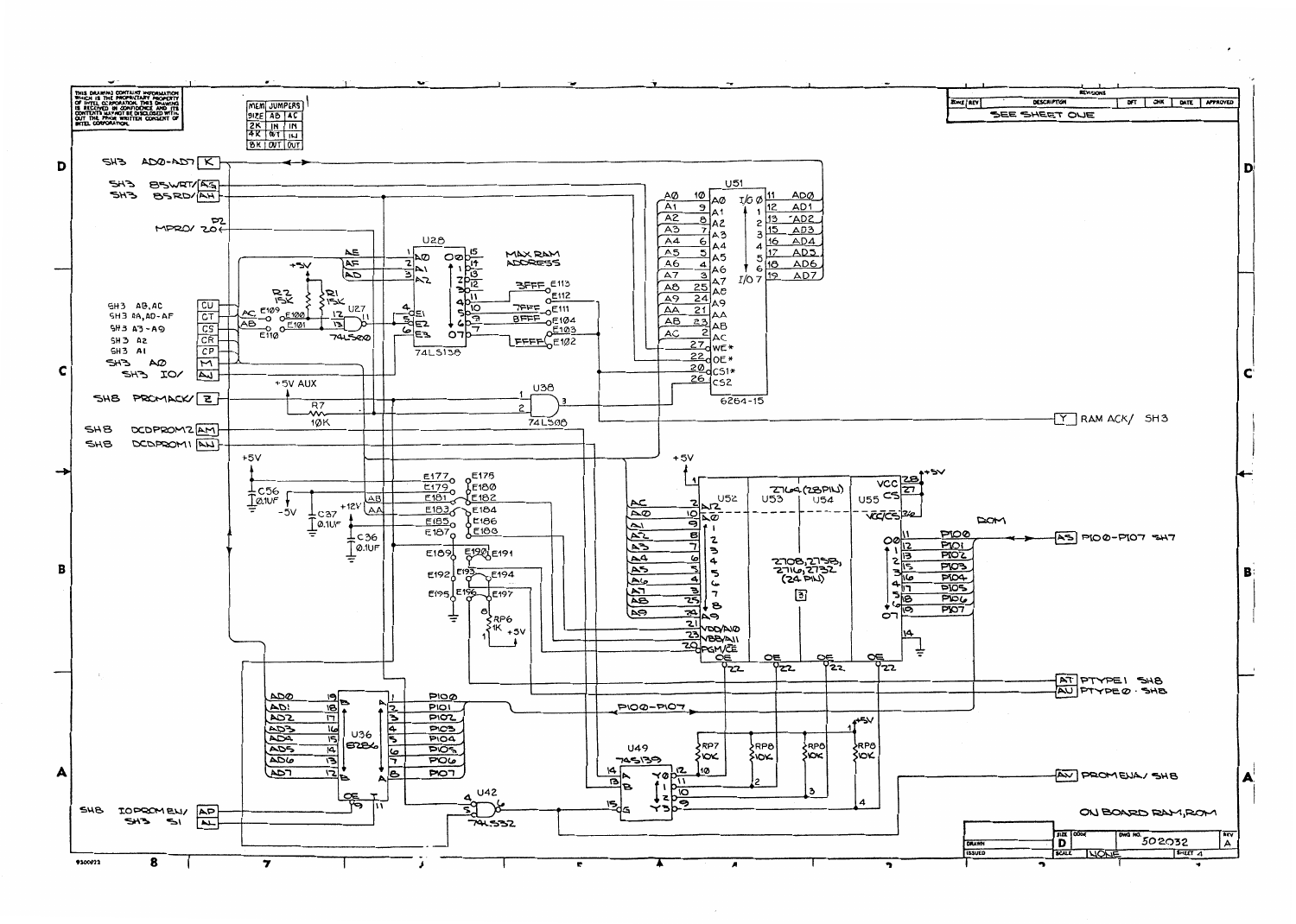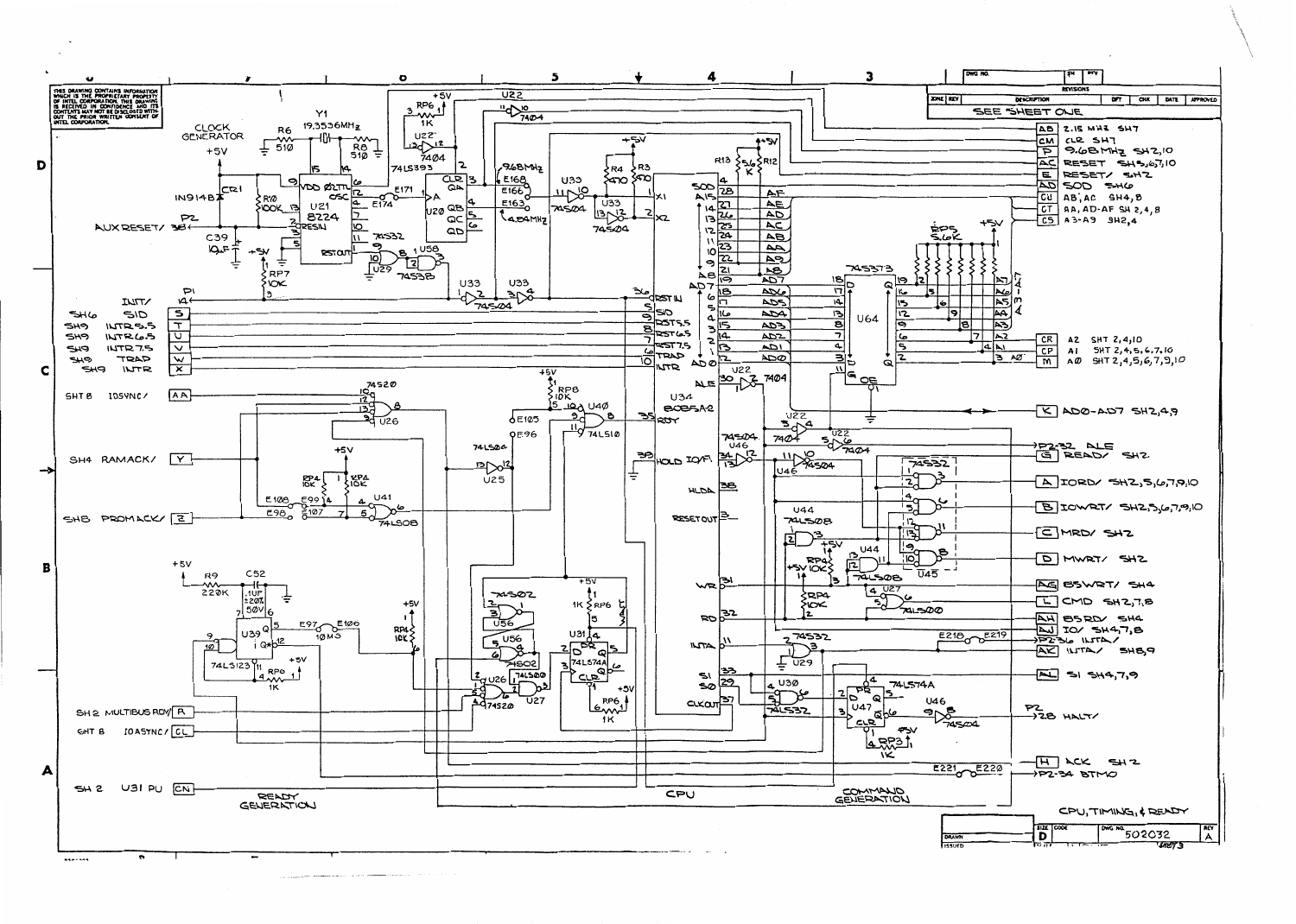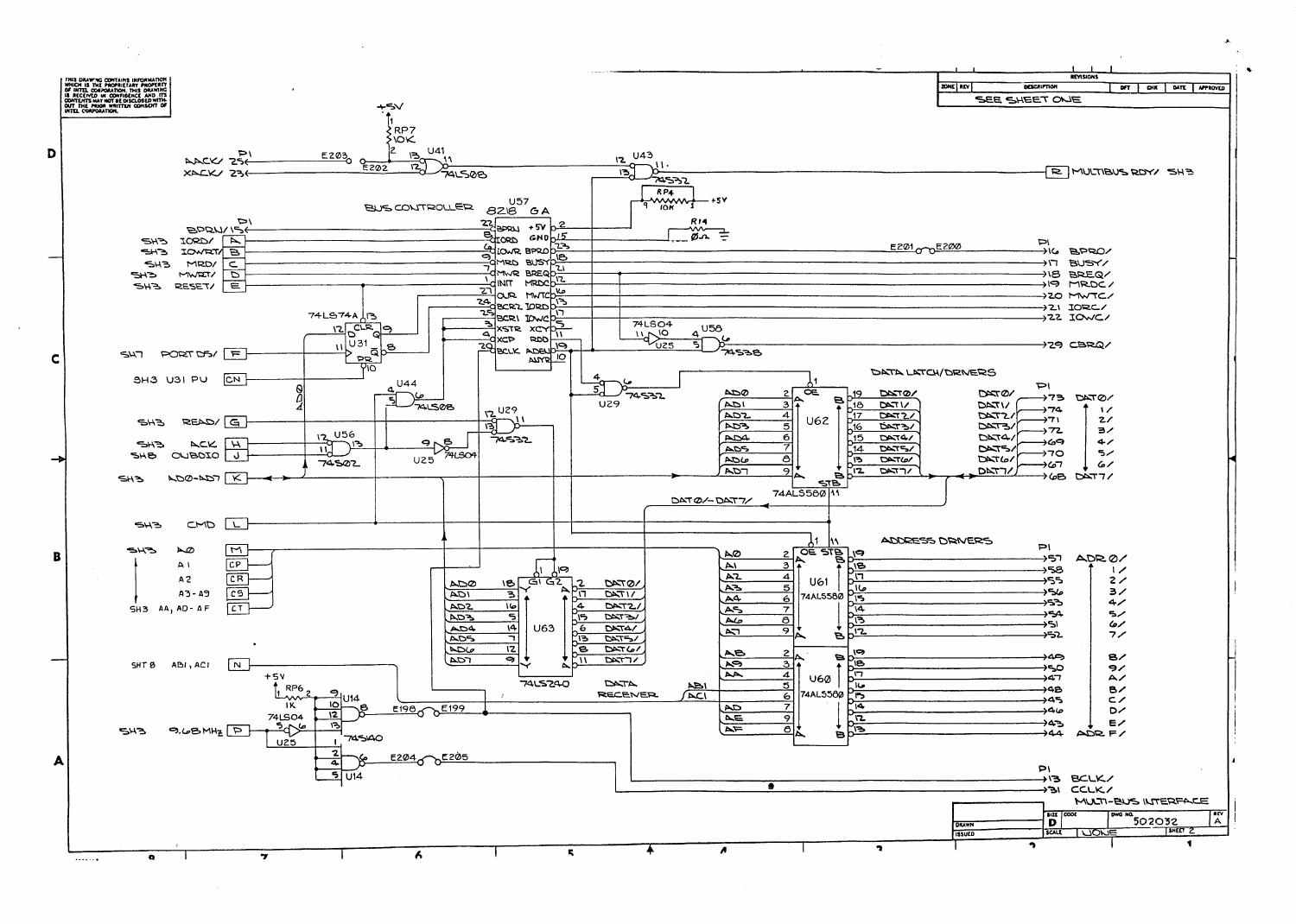